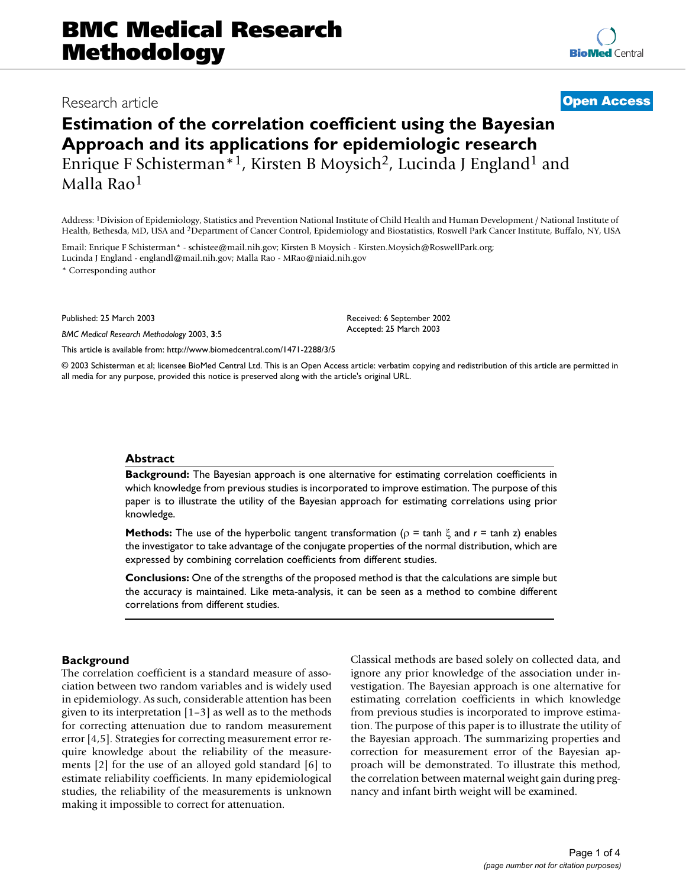# Research article **[Open Access](http://www.biomedcentral.com/info/about/charter/) Estimation of the correlation coefficient using the Bayesian Approach and its applications for epidemiologic research**

Enrique F Schisterman\*<sup>1</sup>, Kirsten B Moysich<sup>2</sup>, Lucinda J England<sup>1</sup> and Malla Rao1

Address: 1Division of Epidemiology, Statistics and Prevention National Institute of Child Health and Human Development / National Institute of Health, Bethesda, MD, USA and 2Department of Cancer Control, Epidemiology and Biostatistics, Roswell Park Cancer Institute, Buffalo, NY, USA

Email: Enrique F Schisterman\* - schistee@mail.nih.gov; Kirsten B Moysich - Kirsten.Moysich@RoswellPark.org; Lucinda J England - englandl@mail.nih.gov; Malla Rao - MRao@niaid.nih.gov

\* Corresponding author

Published: 25 March 2003

*BMC Medical Research Methodology* 2003, **3**:5

[This article is available from: http://www.biomedcentral.com/1471-2288/3/5](http://www.biomedcentral.com/1471-2288/3/5)

© 2003 Schisterman et al; licensee BioMed Central Ltd. This is an Open Access article: verbatim copying and redistribution of this article are permitted in all media for any purpose, provided this notice is preserved along with the article's original URL.

#### **Abstract**

**Background:** The Bayesian approach is one alternative for estimating correlation coefficients in which knowledge from previous studies is incorporated to improve estimation. The purpose of this paper is to illustrate the utility of the Bayesian approach for estimating correlations using prior knowledge.

**Methods:** The use of the hyperbolic tangent transformation ( $\rho = \tanh \xi$  and  $r = \tanh z$ ) enables the investigator to take advantage of the conjugate properties of the normal distribution, which are expressed by combining correlation coefficients from different studies.

**Conclusions:** One of the strengths of the proposed method is that the calculations are simple but the accuracy is maintained. Like meta-analysis, it can be seen as a method to combine different correlations from different studies.

# **Background**

The correlation coefficient is a standard measure of association between two random variables and is widely used in epidemiology. As such, considerable attention has been given to its interpretation [1–3] as well as to the methods for correcting attenuation due to random measurement error [4,5]. Strategies for correcting measurement error require knowledge about the reliability of the measurements [2] for the use of an alloyed gold standard [6] to estimate reliability coefficients. In many epidemiological studies, the reliability of the measurements is unknown making it impossible to correct for attenuation.

Classical methods are based solely on collected data, and ignore any prior knowledge of the association under investigation. The Bayesian approach is one alternative for estimating correlation coefficients in which knowledge from previous studies is incorporated to improve estimation. The purpose of this paper is to illustrate the utility of the Bayesian approach. The summarizing properties and correction for measurement error of the Bayesian approach will be demonstrated. To illustrate this method, the correlation between maternal weight gain during pregnancy and infant birth weight will be examined.

### Received: 6 September 2002 Accepted: 25 March 2003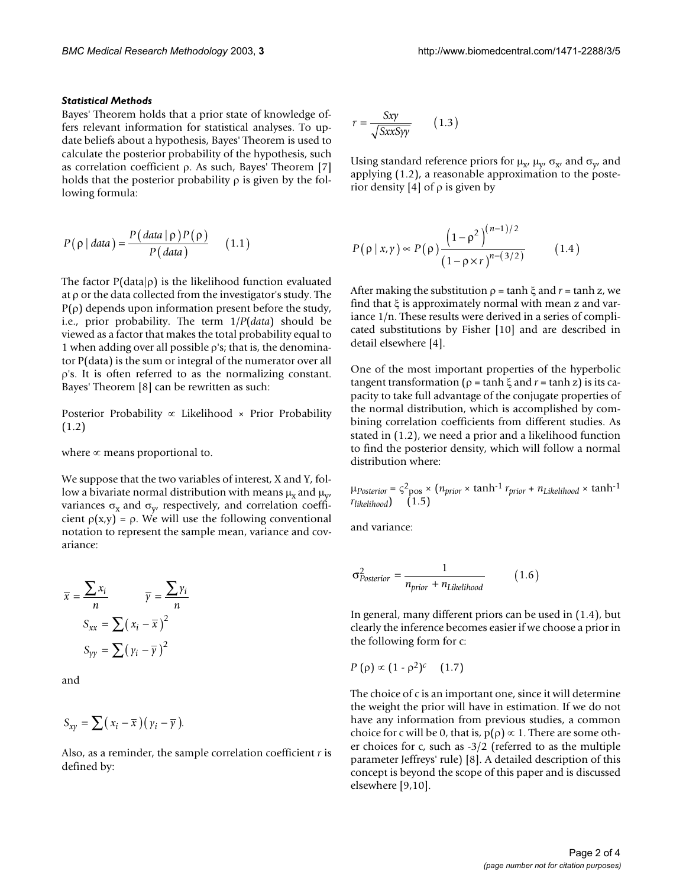#### *Statistical Methods*

Bayes' Theorem holds that a prior state of knowledge offers relevant information for statistical analyses. To update beliefs about a hypothesis, Bayes' Theorem is used to calculate the posterior probability of the hypothesis, such as correlation coefficient ρ. As such, Bayes' Theorem [7] holds that the posterior probability  $\rho$  is given by the following formula:

$$
P(\rho | data) = \frac{P(data | \rho)P(\rho)}{P(data)} \qquad (1.1)
$$

The factor  $P(data|\rho)$  is the likelihood function evaluated at ρ or the data collected from the investigator's study. The P(ρ) depends upon information present before the study, i.e., prior probability. The term 1/*P*(*data*) should be viewed as a factor that makes the total probability equal to 1 when adding over all possible ρ's; that is, the denominator P(data) is the sum or integral of the numerator over all ρ's. It is often referred to as the normalizing constant. Bayes' Theorem [8] can be rewritten as such:

Posterior Probability ∝ Likelihood × Prior Probability (1.2)

where  $\infty$  means proportional to.

We suppose that the two variables of interest, X and Y, follow a bivariate normal distribution with means  $\mu_x$  and  $\mu_y$ , variances  $\sigma_x$  and  $\sigma_y$  respectively, and correlation coefficient  $\rho(x,y) = \rho$ . We will use the following conventional notation to represent the sample mean, variance and covariance:

$$
\overline{x} = \frac{\sum x_i}{n} \qquad \overline{y} = \frac{\sum y_i}{n}
$$

$$
S_{xx} = \sum (x_i - \overline{x})^2
$$

$$
S_{yy} = \sum (y_i - \overline{y})^2
$$

and

$$
S_{xy} = \sum (x_i - \overline{x})(y_i - \overline{y}).
$$

Also, as a reminder, the sample correlation coefficient *r* is defined by:

$$
r = \frac{Sxy}{\sqrt{SxxSyy}} \qquad (1.3)
$$

Using standard reference priors for  $\mu_{x}$ ,  $\mu_{y}$ ,  $\sigma_{x}$ , and  $\sigma_{y}$ , and applying (1.2), a reasonable approximation to the posterior density [4] of  $\rho$  is given by

$$
P(\rho | x, y) \propto P(\rho) \frac{\left(1 - \rho^2\right)^{(n-1)/2}}{\left(1 - \rho \times r\right)^{n - (3/2)}}\tag{1.4}
$$

After making the substitution  $\rho = \tanh \xi$  and  $r = \tanh z$ , we find that ξ is approximately normal with mean z and variance 1/n. These results were derived in a series of complicated substitutions by Fisher [10] and are described in detail elsewhere [4].

One of the most important properties of the hyperbolic tangent transformation ( $ρ = tanh ξ$  and  $r = tanh z$ ) is its capacity to take full advantage of the conjugate properties of the normal distribution, which is accomplished by combining correlation coefficients from different studies. As stated in (1.2), we need a prior and a likelihood function to find the posterior density, which will follow a normal distribution where:

 $\mu_{Posterior} = \varsigma^2_{\text{pos}} \times (n_{prior} \times \tanh^{-1} r_{prior} + n_{Likelihood} \times \tanh^{-1} r_{prior}$  $r_{likelihood}$ ) (1.5)

and variance:

$$
\sigma_{Posterior}^2 = \frac{1}{n_{prior} + n_{Likelihood}} \qquad (1.6)
$$

In general, many different priors can be used in (1.4), but clearly the inference becomes easier if we choose a prior in the following form for c:

$$
P(\rho) \propto (1 - \rho^2)^c \quad (1.7)
$$

The choice of c is an important one, since it will determine the weight the prior will have in estimation. If we do not have any information from previous studies, a common choice for c will be 0, that is,  $p(\rho) \propto 1$ . There are some other choices for c, such as -3/2 (referred to as the multiple parameter Jeffreys' rule) [8]. A detailed description of this concept is beyond the scope of this paper and is discussed elsewhere [9,10].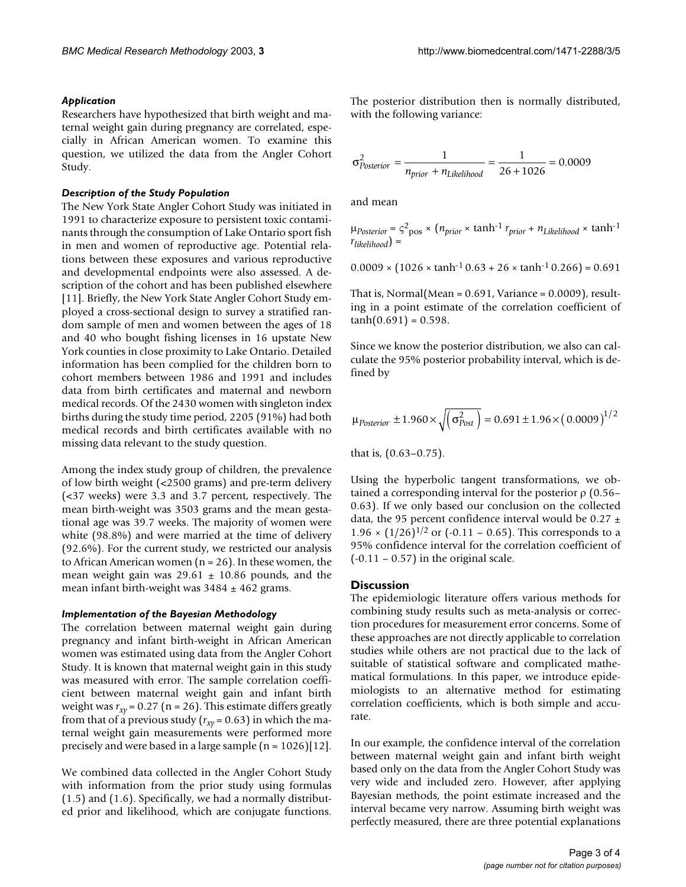#### *Application*

Researchers have hypothesized that birth weight and maternal weight gain during pregnancy are correlated, especially in African American women. To examine this question, we utilized the data from the Angler Cohort Study.

#### *Description of the Study Population*

The New York State Angler Cohort Study was initiated in 1991 to characterize exposure to persistent toxic contaminants through the consumption of Lake Ontario sport fish in men and women of reproductive age. Potential relations between these exposures and various reproductive and developmental endpoints were also assessed. A description of the cohort and has been published elsewhere [11]. Briefly, the New York State Angler Cohort Study employed a cross-sectional design to survey a stratified random sample of men and women between the ages of 18 and 40 who bought fishing licenses in 16 upstate New York counties in close proximity to Lake Ontario. Detailed information has been complied for the children born to cohort members between 1986 and 1991 and includes data from birth certificates and maternal and newborn medical records. Of the 2430 women with singleton index births during the study time period, 2205 (91%) had both medical records and birth certificates available with no missing data relevant to the study question.

Among the index study group of children, the prevalence of low birth weight (<2500 grams) and pre-term delivery (<37 weeks) were 3.3 and 3.7 percent, respectively. The mean birth-weight was 3503 grams and the mean gestational age was 39.7 weeks. The majority of women were white (98.8%) and were married at the time of delivery (92.6%). For the current study, we restricted our analysis to African American women ( $n = 26$ ). In these women, the mean weight gain was  $29.61 \pm 10.86$  pounds, and the mean infant birth-weight was  $3484 \pm 462$  grams.

#### *Implementation of the Bayesian Methodology*

The correlation between maternal weight gain during pregnancy and infant birth-weight in African American women was estimated using data from the Angler Cohort Study. It is known that maternal weight gain in this study was measured with error. The sample correlation coefficient between maternal weight gain and infant birth weight was  $r_{xy}$  = 0.27 (n = 26). This estimate differs greatly from that of a previous study ( $r_{xy}$  = 0.63) in which the maternal weight gain measurements were performed more precisely and were based in a large sample  $(n = 1026)[12]$ .

We combined data collected in the Angler Cohort Study with information from the prior study using formulas (1.5) and (1.6). Specifically, we had a normally distributed prior and likelihood, which are conjugate functions.

The posterior distribution then is normally distributed, with the following variance:

$$
\sigma_{Posterior}^2 = \frac{1}{n_{prior} + n_{Likelihood}} = \frac{1}{26 + 1026} = 0.0009
$$

and mean

$$
\mu_{Posterior} = \varsigma^2_{\text{pos}} \times \left( n_{prior} \times \tanh^{-1} r_{prior} + n_{Likelihood} \times \tanh^{-1} r_{likelihood} \right) =
$$

 $0.0009 \times (1026 \times \tanh^{-1} 0.63 + 26 \times \tanh^{-1} 0.266) = 0.691$ 

That is, Normal(Mean =  $0.691$ , Variance =  $0.0009$ ), resulting in a point estimate of the correlation coefficient of  $tanh(0.691) = 0.598$ .

Since we know the posterior distribution, we also can calculate the 95% posterior probability interval, which is defined by

$$
\mu_{Posterior} \pm 1.960 \times \sqrt{(\sigma_{Post}^2)} = 0.691 \pm 1.96 \times (0.0009)^{1/2}
$$

that is, (0.63–0.75).

Using the hyperbolic tangent transformations, we obtained a corresponding interval for the posterior  $ρ$  (0.56– 0.63). If we only based our conclusion on the collected data, the 95 percent confidence interval would be 0.27  $\pm$  $1.96 \times (1/26)^{1/2}$  or (-0.11 – 0.65). This corresponds to a 95% confidence interval for the correlation coefficient of  $(-0.11 - 0.57)$  in the original scale.

#### **Discussion**

The epidemiologic literature offers various methods for combining study results such as meta-analysis or correction procedures for measurement error concerns. Some of these approaches are not directly applicable to correlation studies while others are not practical due to the lack of suitable of statistical software and complicated mathematical formulations. In this paper, we introduce epidemiologists to an alternative method for estimating correlation coefficients, which is both simple and accurate.

In our example, the confidence interval of the correlation between maternal weight gain and infant birth weight based only on the data from the Angler Cohort Study was very wide and included zero. However, after applying Bayesian methods, the point estimate increased and the interval became very narrow. Assuming birth weight was perfectly measured, there are three potential explanations